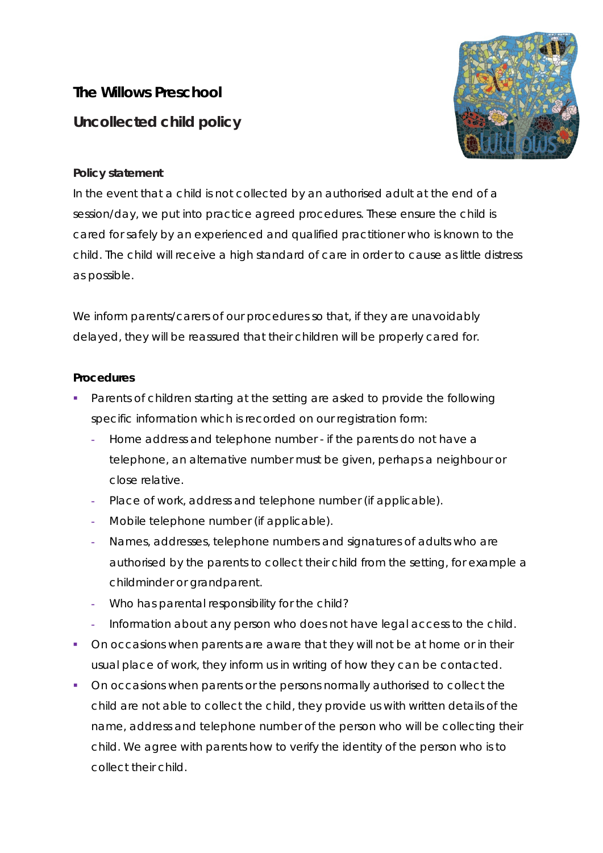## **The Willows Preschool Uncollected child policy**



## **Policy statement**

In the event that a child is not collected by an authorised adult at the end of a session/day, we put into practice agreed procedures. These ensure the child is cared for safely by an experienced and qualified practitioner who is known to the child. The child will receive a high standard of care in order to cause as little distress as possible.

We inform parents/carers of our procedures so that, if they are unavoidably delayed, they will be reassured that their children will be properly cared for.

## **Procedures**

- Parents of children starting at the setting are asked to provide the following specific information which is recorded on our registration form:
	- **-** Home address and telephone number if the parents do not have a telephone, an alternative number must be given, perhaps a neighbour or close relative.
	- **-** Place of work, address and telephone number (if applicable).
	- **-** Mobile telephone number (if applicable).
	- **-** Names, addresses, telephone numbers and signatures of adults who are authorised by the parents to collect their child from the setting, for example a childminder or grandparent.
	- **-** Who has parental responsibility for the child?
	- **-** Information about any person who does not have legal access to the child.
- On occasions when parents are aware that they will not be at home or in their usual place of work, they inform us in writing of how they can be contacted.
- On occasions when parents or the persons normally authorised to collect the child are not able to collect the child, they provide us with written details of the name, address and telephone number of the person who will be collecting their child. We agree with parents how to verify the identity of the person who is to collect their child.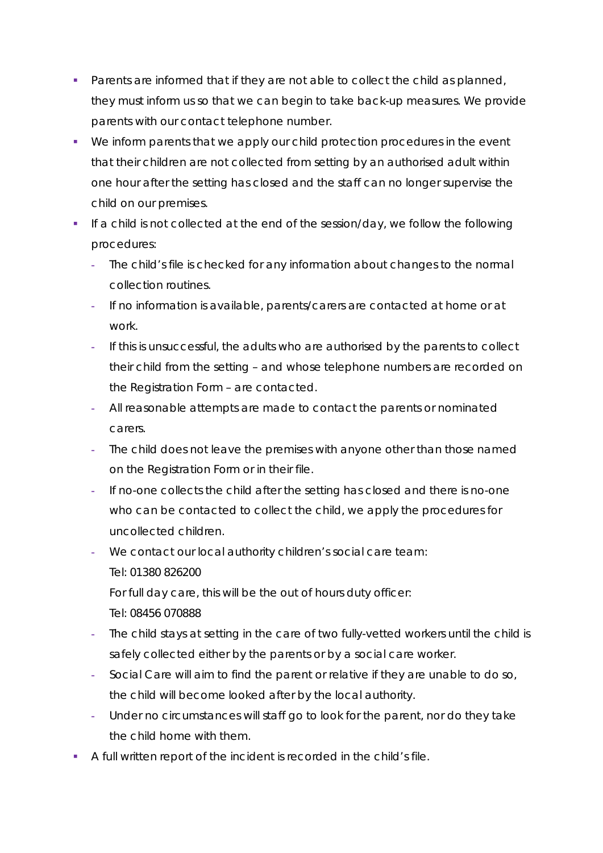- **Parents are informed that if they are not able to collect the child as planned,** they must inform us so that we can begin to take back-up measures. We provide parents with our contact telephone number.
- We inform parents that we apply our child protection procedures in the event that their children are not collected from setting by an authorised adult within one hour after the setting has closed and the staff can no longer supervise the child on our premises.
- If a child is not collected at the end of the session/day, we follow the following procedures:
	- **-** The child's file is checked for any information about changes to the normal collection routines.
	- **-** If no information is available, parents/carers are contacted at home or at work.
	- **-** If this is unsuccessful, the adults who are authorised by the parents to collect their child from the setting – and whose telephone numbers are recorded on the Registration Form – are contacted.
	- **-** All reasonable attempts are made to contact the parents or nominated carers.
	- **-** The child does not leave the premises with anyone other than those named on the Registration Form or in their file.
	- **-** If no-one collects the child after the setting has closed and there is no-one who can be contacted to collect the child, we apply the procedures for uncollected children.
	- **-** We contact our local authority children's social care team: Tel: 01380 826200 For full day care, this will be the out of hours duty officer:
		- Tel: 08456 070888
	- **-** The child stays at setting in the care of two fully-vetted workers until the child is safely collected either by the parents or by a social care worker.
	- **-** Social Care will aim to find the parent or relative if they are unable to do so, the child will become looked after by the local authority.
	- **-** Under no circumstances will staff go to look for the parent, nor do they take the child home with them.
- A full written report of the incident is recorded in the child's file.